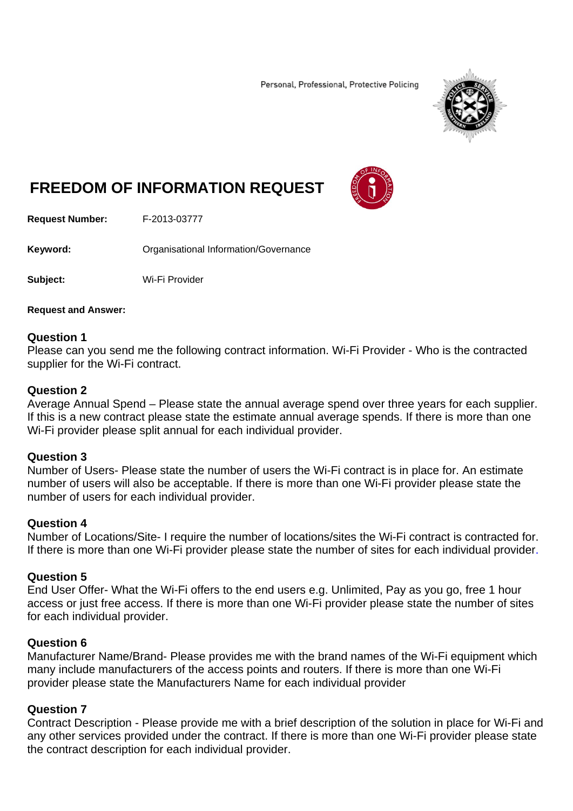Personal, Professional, Protective Policing



# **FREEDOM OF INFORMATION REQUEST**



**Request Number:** F-2013-03777

**Keyword: Cranisational Information/Governance** 

**Subject:** Wi-Fi Provider

**Request and Answer:** 

#### **Question 1**

Please can you send me the following contract information. Wi-Fi Provider - Who is the contracted supplier for the Wi-Fi contract.

#### **Question 2**

Average Annual Spend – Please state the annual average spend over three years for each supplier. If this is a new contract please state the estimate annual average spends. If there is more than one Wi-Fi provider please split annual for each individual provider.

## **Question 3**

Number of Users- Please state the number of users the Wi-Fi contract is in place for. An estimate number of users will also be acceptable. If there is more than one Wi-Fi provider please state the number of users for each individual provider.

## **Question 4**

Number of Locations/Site- I require the number of locations/sites the Wi-Fi contract is contracted for. If there is more than one Wi-Fi provider please state the number of sites for each individual provider.

#### **Question 5**

End User Offer- What the Wi-Fi offers to the end users e.g. Unlimited, Pay as you go, free 1 hour access or just free access. If there is more than one Wi-Fi provider please state the number of sites for each individual provider.

## **Question 6**

Manufacturer Name/Brand- Please provides me with the brand names of the Wi-Fi equipment which many include manufacturers of the access points and routers. If there is more than one Wi-Fi provider please state the Manufacturers Name for each individual provider

## **Question 7**

Contract Description - Please provide me with a brief description of the solution in place for Wi-Fi and any other services provided under the contract. If there is more than one Wi-Fi provider please state the contract description for each individual provider.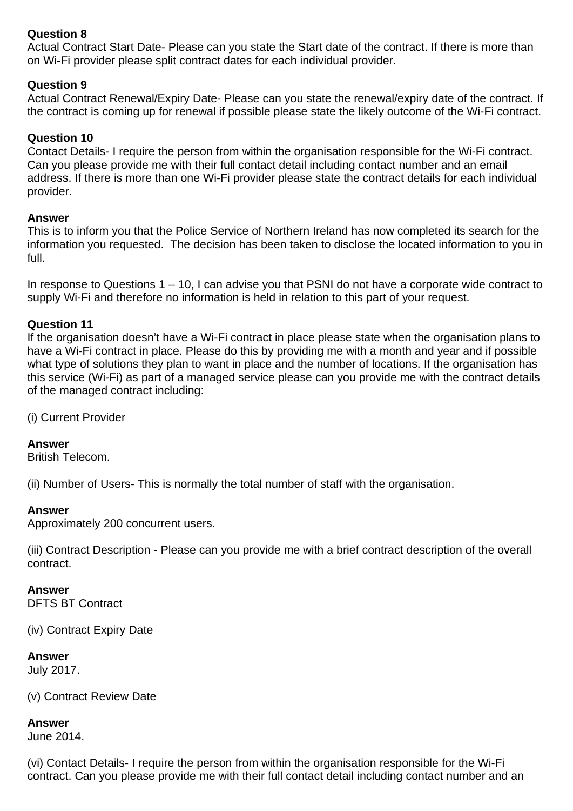# **Question 8**

Actual Contract Start Date- Please can you state the Start date of the contract. If there is more than on Wi-Fi provider please split contract dates for each individual provider.

## **Question 9**

Actual Contract Renewal/Expiry Date- Please can you state the renewal/expiry date of the contract. If the contract is coming up for renewal if possible please state the likely outcome of the Wi-Fi contract.

## **Question 10**

Contact Details- I require the person from within the organisation responsible for the Wi-Fi contract. Can you please provide me with their full contact detail including contact number and an email address. If there is more than one Wi-Fi provider please state the contract details for each individual provider.

## **Answer**

This is to inform you that the Police Service of Northern Ireland has now completed its search for the information you requested. The decision has been taken to disclose the located information to you in full.

In response to Questions 1 – 10, I can advise you that PSNI do not have a corporate wide contract to supply Wi-Fi and therefore no information is held in relation to this part of your request.

## **Question 11**

If the organisation doesn't have a Wi-Fi contract in place please state when the organisation plans to have a Wi-Fi contract in place. Please do this by providing me with a month and year and if possible what type of solutions they plan to want in place and the number of locations. If the organisation has this service (Wi-Fi) as part of a managed service please can you provide me with the contract details of the managed contract including:

(i) Current Provider

## **Answer**

British Telecom.

(ii) Number of Users- This is normally the total number of staff with the organisation.

## **Answer**

Approximately 200 concurrent users.

(iii) Contract Description - Please can you provide me with a brief contract description of the overall contract.

## **Answer**

DFTS BT Contract

(iv) Contract Expiry Date

## **Answer**

July 2017.

(v) Contract Review Date

#### **Answer**

June 2014.

(vi) Contact Details- I require the person from within the organisation responsible for the Wi-Fi contract. Can you please provide me with their full contact detail including contact number and an